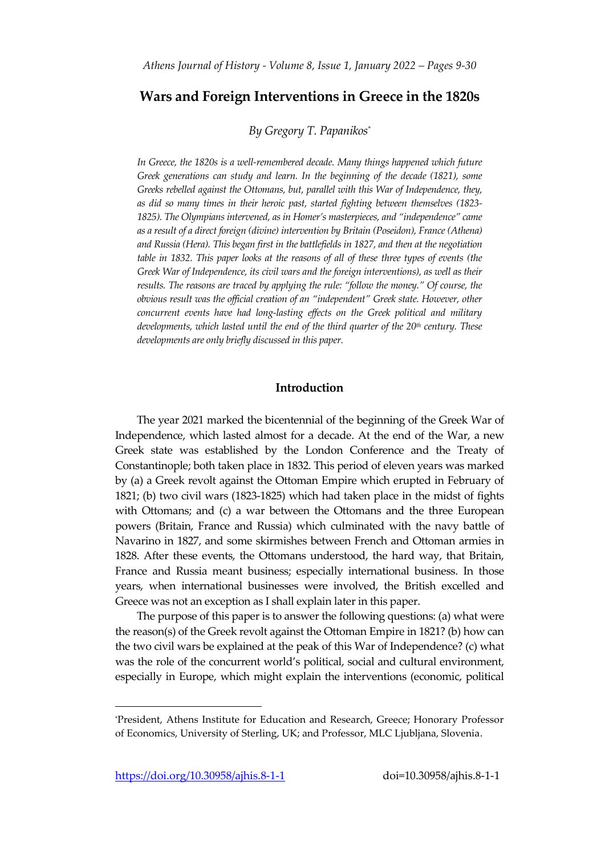# **Wars and Foreign Interventions in Greece in the 1820s**

*By Gregory T. Papanikos\**

*In Greece, the 1820s is a well-remembered decade. Many things happened which future Greek generations can study and learn. In the beginning of the decade (1821), some Greeks rebelled against the Ottomans, but, parallel with this War of Independence, they, as did so many times in their heroic past, started fighting between themselves (1823- 1825). The Olympians intervened, as in Homer's masterpieces, and "independence" came as a result of a direct foreign (divine) intervention by Britain (Poseidon), France (Athena) and Russia (Hera). This began first in the battlefields in 1827, and then at the negotiation table in 1832. This paper looks at the reasons of all of these three types of events (the Greek War of Independence, its civil wars and the foreign interventions), as well as their results. The reasons are traced by applying the rule: "follow the money." Of course, the obvious result was the official creation of an "independent" Greek state. However, other concurrent events have had long-lasting effects on the Greek political and military developments, which lasted until the end of the third quarter of the 20th century. These developments are only briefly discussed in this paper.*

#### **Introduction**

The year 2021 marked the bicentennial of the beginning of the Greek War of Independence, which lasted almost for a decade. At the end of the War, a new Greek state was established by the London Conference and the Treaty of Constantinople; both taken place in 1832. This period of eleven years was marked by (a) a Greek revolt against the Ottoman Empire which erupted in February of 1821; (b) two civil wars (1823-1825) which had taken place in the midst of fights with Ottomans; and (c) a war between the Ottomans and the three European powers (Britain, France and Russia) which culminated with the navy battle of Navarino in 1827, and some skirmishes between French and Ottoman armies in 1828. After these events, the Ottomans understood, the hard way, that Britain, France and Russia meant business; especially international business. In those years, when international businesses were involved, the British excelled and Greece was not an exception as I shall explain later in this paper.

The purpose of this paper is to answer the following questions: (a) what were the reason(s) of the Greek revolt against the Ottoman Empire in 1821? (b) how can the two civil wars be explained at the peak of this War of Independence? (c) what was the role of the concurrent world's political, social and cultural environment, especially in Europe, which might explain the interventions (economic, political

<sup>\*</sup>President, Athens Institute for Education and Research, Greece; Honorary Professor of Economics, University of Sterling, UK; and Professor, MLC Ljubljana, Slovenia.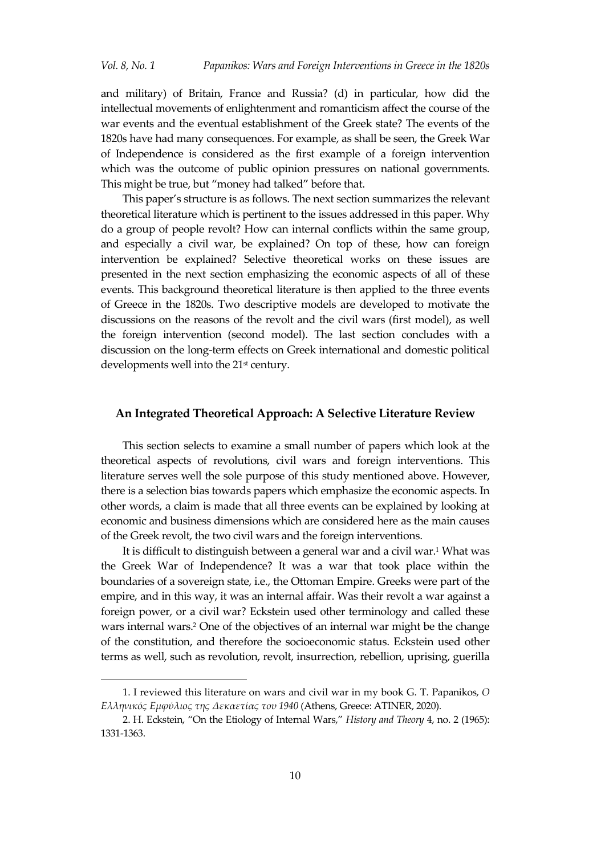and military) of Britain, France and Russia? (d) in particular, how did the intellectual movements of enlightenment and romanticism affect the course of the war events and the eventual establishment of the Greek state? The events of the 1820s have had many consequences. For example, as shall be seen, the Greek War of Independence is considered as the first example of a foreign intervention which was the outcome of public opinion pressures on national governments. This might be true, but 'money had talked' before that.

This paper's structure is as follows. The next section summarizes the relevant theoretical literature which is pertinent to the issues addressed in this paper. Why do a group of people revolt? How can internal conflicts within the same group, and especially a civil war, be explained? On top of these, how can foreign intervention be explained? Selective theoretical works on these issues are presented in the next section emphasizing the economic aspects of all of these events. This background theoretical literature is then applied to the three events of Greece in the 1820s. Two descriptive models are developed to motivate the discussions on the reasons of the revolt and the civil wars (first model), as well the foreign intervention (second model). The last section concludes with a discussion on the long-term effects on Greek international and domestic political developments well into the 21<sup>st</sup> century.

#### **An Integrated Theoretical Approach: A Selective Literature Review**

This section selects to examine a small number of papers which look at the theoretical aspects of revolutions, civil wars and foreign interventions. This literature serves well the sole purpose of this study mentioned above. However, there is a selection bias towards papers which emphasize the economic aspects. In other words, a claim is made that all three events can be explained by looking at economic and business dimensions which are considered here as the main causes of the Greek revolt, the two civil wars and the foreign interventions.

It is difficult to distinguish between a general war and a civil war.<sup>1</sup> What was the Greek War of Independence? It was a war that took place within the boundaries of a sovereign state, i.e., the Ottoman Empire. Greeks were part of the empire, and in this way, it was an internal affair. Was their revolt a war against a foreign power, or a civil war? Eckstein used other terminology and called these wars internal wars.<sup>2</sup> One of the objectives of an internal war might be the change of the constitution, and therefore the socioeconomic status. Eckstein used other terms as well, such as revolution, revolt, insurrection, rebellion, uprising, guerilla

<sup>1.</sup> I reviewed this literature on wars and civil war in my book G. T. Papanikos, *Ο Ελληνικός Εμφύλιος της Δεκαετίας του 1940* (Athens, Greece: ATINER, 2020).

<sup>2</sup>. H. Eckstein, 'On the Etiology of Internal Wars,' *History and Theory* 4, no. 2 (1965): 1331-1363.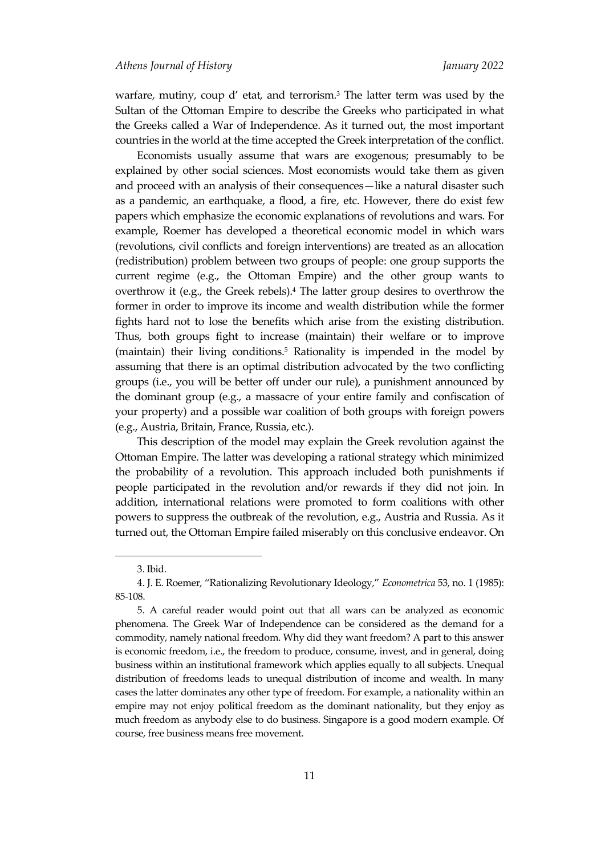warfare, mutiny, coup d' etat, and terrorism.<sup>3</sup> The latter term was used by the Sultan of the Ottoman Empire to describe the Greeks who participated in what the Greeks called a War of Independence. As it turned out, the most important countries in the world at the time accepted the Greek interpretation of the conflict.

Economists usually assume that wars are exogenous; presumably to be explained by other social sciences. Most economists would take them as given and proceed with an analysis of their consequences—like a natural disaster such as a pandemic, an earthquake, a flood, a fire, etc. However, there do exist few papers which emphasize the economic explanations of revolutions and wars. For example, Roemer has developed a theoretical economic model in which wars (revolutions, civil conflicts and foreign interventions) are treated as an allocation (redistribution) problem between two groups of people: one group supports the current regime (e.g., the Ottoman Empire) and the other group wants to overthrow it (e.g., the Greek rebels).<sup>4</sup> The latter group desires to overthrow the former in order to improve its income and wealth distribution while the former fights hard not to lose the benefits which arise from the existing distribution. Thus, both groups fight to increase (maintain) their welfare or to improve (maintain) their living conditions.<sup>5</sup> Rationality is impended in the model by assuming that there is an optimal distribution advocated by the two conflicting groups (i.e., you will be better off under our rule), a punishment announced by the dominant group (e.g., a massacre of your entire family and confiscation of your property) and a possible war coalition of both groups with foreign powers (e.g., Austria, Britain, France, Russia, etc.).

This description of the model may explain the Greek revolution against the Ottoman Empire. The latter was developing a rational strategy which minimized the probability of a revolution. This approach included both punishments if people participated in the revolution and/or rewards if they did not join. In addition, international relations were promoted to form coalitions with other powers to suppress the outbreak of the revolution, e.g., Austria and Russia. As it turned out, the Ottoman Empire failed miserably on this conclusive endeavor. On

<sup>3.</sup> Ibid.

<sup>4.</sup> J. E. Roemer, 'Rationalizing Revolutionary Ideology,' *Econometrica* 53, no. 1 (1985): 85-108.

<sup>5.</sup> A careful reader would point out that all wars can be analyzed as economic phenomena. The Greek War of Independence can be considered as the demand for a commodity, namely national freedom. Why did they want freedom? A part to this answer is economic freedom, i.e., the freedom to produce, consume, invest, and in general, doing business within an institutional framework which applies equally to all subjects. Unequal distribution of freedoms leads to unequal distribution of income and wealth. In many cases the latter dominates any other type of freedom. For example, a nationality within an empire may not enjoy political freedom as the dominant nationality, but they enjoy as much freedom as anybody else to do business. Singapore is a good modern example. Of course, free business means free movement.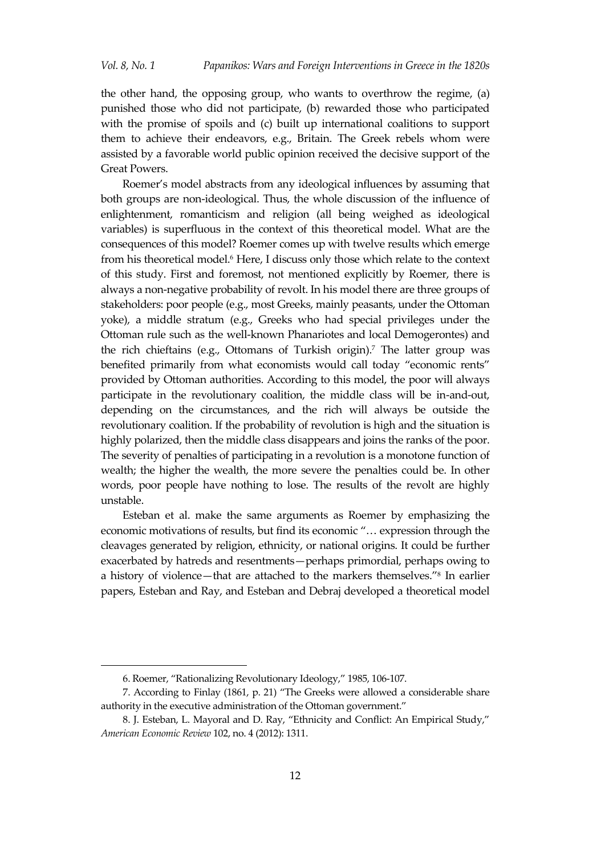the other hand, the opposing group, who wants to overthrow the regime, (a) punished those who did not participate, (b) rewarded those who participated with the promise of spoils and (c) built up international coalitions to support them to achieve their endeavors, e.g., Britain. The Greek rebels whom were assisted by a favorable world public opinion received the decisive support of the Great Powers.

Roemer's model abstracts from any ideological influences by assuming that both groups are non-ideological. Thus, the whole discussion of the influence of enlightenment, romanticism and religion (all being weighed as ideological variables) is superfluous in the context of this theoretical model. What are the consequences of this model? Roemer comes up with twelve results which emerge from his theoretical model.<sup>6</sup> Here, I discuss only those which relate to the context of this study. First and foremost, not mentioned explicitly by Roemer, there is always a non-negative probability of revolt. In his model there are three groups of stakeholders: poor people (e.g., most Greeks, mainly peasants, under the Ottoman yoke), a middle stratum (e.g., Greeks who had special privileges under the Ottoman rule such as the well-known Phanariotes and local Demogerontes) and the rich chieftains (e.g., Ottomans of Turkish origin). <sup>7</sup> The latter group was benefited primarily from what economists would call today 'economic rents' provided by Ottoman authorities. According to this model, the poor will always participate in the revolutionary coalition, the middle class will be in-and-out, depending on the circumstances, and the rich will always be outside the revolutionary coalition. If the probability of revolution is high and the situation is highly polarized, then the middle class disappears and joins the ranks of the poor. The severity of penalties of participating in a revolution is a monotone function of wealth; the higher the wealth, the more severe the penalties could be. In other words, poor people have nothing to lose. The results of the revolt are highly unstable.

Esteban et al. make the same arguments as Roemer by emphasizing the economic motivations of results, but find its economic "... expression through the cleavages generated by religion, ethnicity, or national origins. It could be further exacerbated by hatreds and resentments—perhaps primordial, perhaps owing to a history of violence—that are attached to the markers themselves.' 8 In earlier papers, Esteban and Ray, and Esteban and Debraj developed a theoretical model

<sup>6.</sup> Roemer, 'Rationalizing Revolutionary Ideology,' 1985, 106-107.

<sup>7.</sup> According to Finlay (1861, p. 21) 'The Greeks were allowed a considerable share authority in the executive administration of the Ottoman government.'

<sup>8.</sup> J. Esteban, L. Mayoral and D. Ray, 'Ethnicity and Conflict: An Empirical Study,' *American Economic Review* 102, no. 4 (2012): 1311.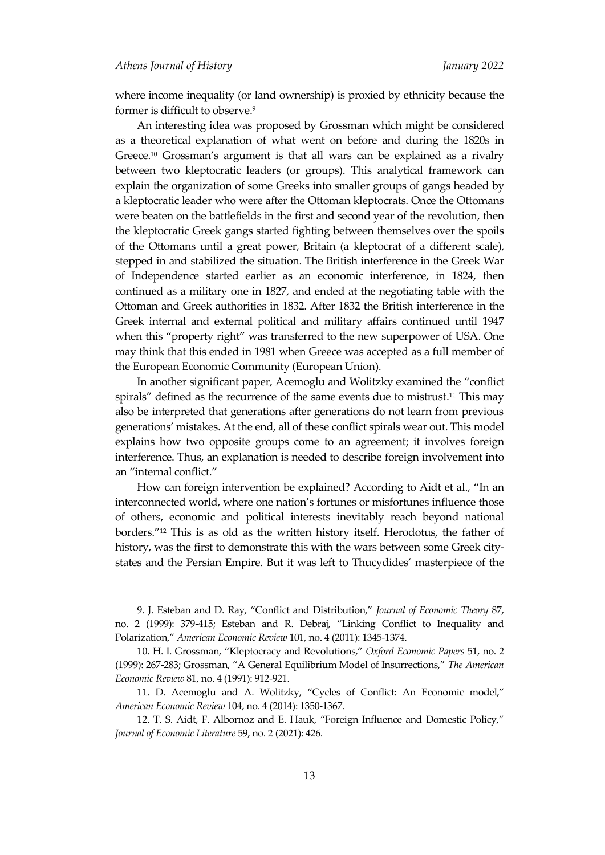where income inequality (or land ownership) is proxied by ethnicity because the former is difficult to observe.<sup>9</sup>

An interesting idea was proposed by Grossman which might be considered as a theoretical explanation of what went on before and during the 1820s in Greece.<sup>10</sup> Grossman's argument is that all wars can be explained as a rivalry between two kleptocratic leaders (or groups). This analytical framework can explain the organization of some Greeks into smaller groups of gangs headed by a kleptocratic leader who were after the Ottoman kleptocrats. Once the Ottomans were beaten on the battlefields in the first and second year of the revolution, then the kleptocratic Greek gangs started fighting between themselves over the spoils of the Ottomans until a great power, Britain (a kleptocrat of a different scale), stepped in and stabilized the situation. The British interference in the Greek War of Independence started earlier as an economic interference, in 1824, then continued as a military one in 1827, and ended at the negotiating table with the Ottoman and Greek authorities in 1832. After 1832 the British interference in the Greek internal and external political and military affairs continued until 1947 when this "property right" was transferred to the new superpower of USA. One may think that this ended in 1981 when Greece was accepted as a full member of the European Economic Community (European Union).

In another significant paper, Acemoglu and Wolitzky examined the 'conflict spirals' defined as the recurrence of the same events due to mistrust. <sup>11</sup> This may also be interpreted that generations after generations do not learn from previous generations' mistakes. At the end, all of these conflict spirals wear out. This model explains how two opposite groups come to an agreement; it involves foreign interference. Thus, an explanation is needed to describe foreign involvement into an 'internal conflict.'

How can foreign intervention be explained? According to Aidt et al., 'In an interconnected world, where one nation's fortunes or misfortunes influence those of others, economic and political interests inevitably reach beyond national borders.' <sup>12</sup> This is as old as the written history itself. Herodotus, the father of history, was the first to demonstrate this with the wars between some Greek citystates and the Persian Empire. But it was left to Thucydides' masterpiece of the

<sup>9</sup>. J. Esteban and D. Ray, 'Conflict and Distribution,' *Journal of Economic Theory* 87, no. 2 (1999): 379-415; Esteban and R. Debraj, 'Linking Conflict to Inequality and Polarization,' *American Economic Review* 101, no. 4 (2011): 1345-1374.

<sup>10.</sup> H. I. Grossman, 'Kleptocracy and Revolutions,' *Oxford Economic Papers* 51, no. 2 (1999): 267-283; Grossman, 'A General Equilibrium Model of Insurrections,' *The American Economic Review* 81, no. 4 (1991): 912-921.

<sup>11.</sup> D. Acemoglu and A. Wolitzky, 'Cycles of Conflict: An Economic model,' *American Economic Review* 104, no. 4 (2014): 1350-1367.

<sup>12</sup>. T. S. Aidt, F. Albornoz and E. Hauk, 'Foreign Influence and Domestic Policy,' *Journal of Economic Literature* 59, no. 2 (2021): 426.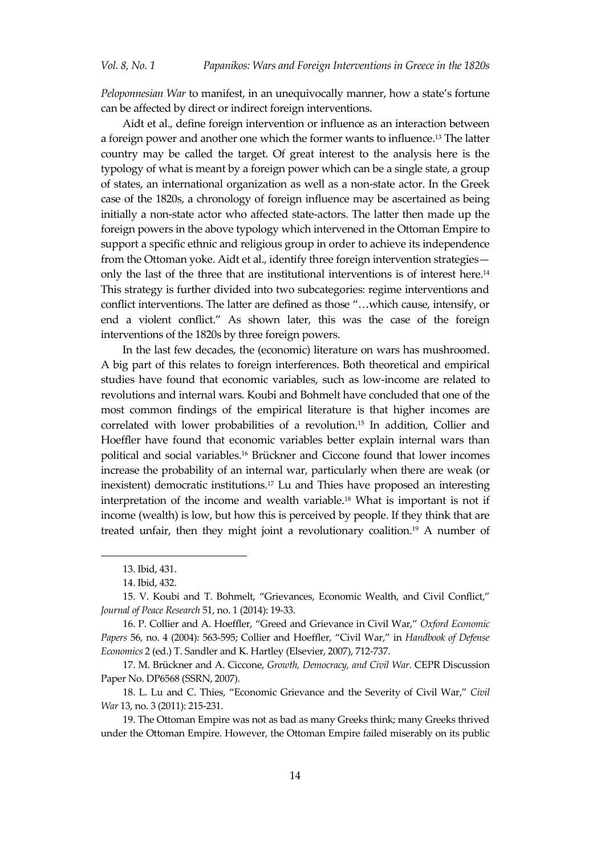*Peloponnesian War* to manifest, in an unequivocally manner, how a state's fortune can be affected by direct or indirect foreign interventions.

Aidt et al., define foreign intervention or influence as an interaction between a foreign power and another one which the former wants to influence. <sup>13</sup> The latter country may be called the target. Of great interest to the analysis here is the typology of what is meant by a foreign power which can be a single state, a group of states, an international organization as well as a non-state actor. In the Greek case of the 1820s, a chronology of foreign influence may be ascertained as being initially a non-state actor who affected state-actors. The latter then made up the foreign powers in the above typology which intervened in the Ottoman Empire to support a specific ethnic and religious group in order to achieve its independence from the Ottoman yoke. Aidt et al., identify three foreign intervention strategies only the last of the three that are institutional interventions is of interest here.<sup>14</sup> This strategy is further divided into two subcategories: regime interventions and conflict interventions. The latter are defined as those "...which cause, intensify, or end a violent conflict.' As shown later, this was the case of the foreign interventions of the 1820s by three foreign powers.

In the last few decades, the (economic) literature on wars has mushroomed. A big part of this relates to foreign interferences. Both theoretical and empirical studies have found that economic variables, such as low-income are related to revolutions and internal wars. Koubi and Bohmelt have concluded that one of the most common findings of the empirical literature is that higher incomes are correlated with lower probabilities of a revolution.<sup>15</sup> In addition, Collier and Hoeffler have found that economic variables better explain internal wars than political and social variables.<sup>16</sup> Brückner and Ciccone found that lower incomes increase the probability of an internal war, particularly when there are weak (or inexistent) democratic institutions.<sup>17</sup> Lu and Thies have proposed an interesting interpretation of the income and wealth variable.<sup>18</sup> What is important is not if income (wealth) is low, but how this is perceived by people. If they think that are treated unfair, then they might joint a revolutionary coalition. <sup>19</sup> A number of

<sup>13.</sup> Ibid, 431.

<sup>14.</sup> Ibid, 432.

<sup>15.</sup> V. Koubi and T. Bohmelt, 'Grievances, Economic Wealth, and Civil Conflict,' *Journal of Peace Research* 51, no. 1 (2014): 19-33.

<sup>16.</sup> P. Collier and A. Hoeffler, 'Greed and Grievance in Civil War,' *Oxford Economic Papers* 56, no. 4 (2004): 563-595; Collier and Hoeffler, 'Civil War,' in *Handbook of Defense Economics* 2 (ed.) T. Sandler and K. Hartley (Elsevier, 2007), 712-737.

<sup>17.</sup> M. Brückner and A. Ciccone, *Growth, Democracy, and Civil War*. CEPR Discussion Paper No. DP6568 (SSRN, 2007).

<sup>18.</sup> L. Lu and C. Thies, 'Economic Grievance and the Severity of Civil War,' *Civil War* 13, no. 3 (2011): 215-231.

<sup>19.</sup> The Ottoman Empire was not as bad as many Greeks think; many Greeks thrived under the Ottoman Empire. However, the Ottoman Empire failed miserably on its public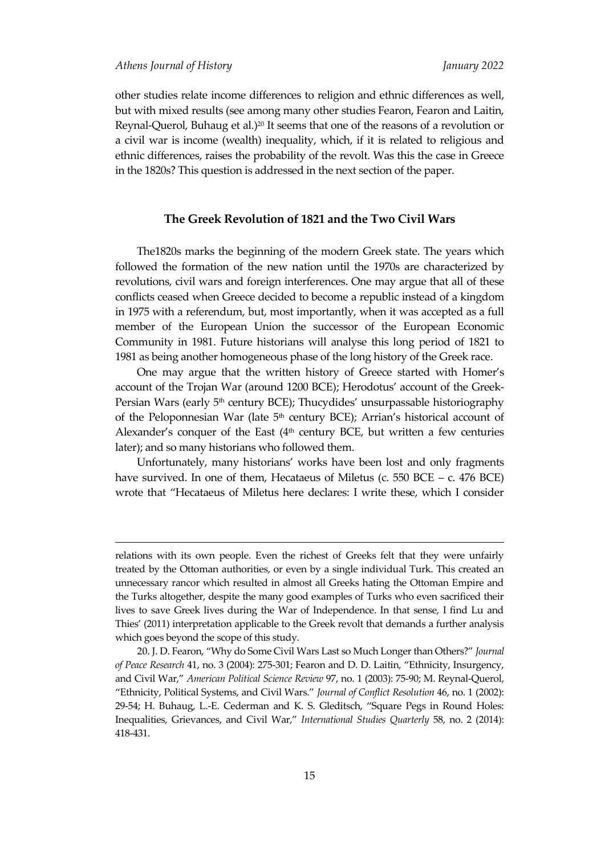-

other studies relate income differences to religion and ethnic differences as well, but with mixed results (see among many other studies Fearon, Fearon and Laitin, Reynal-Querol, Buhaug et al.) <sup>20</sup> It seems that one of the reasons of a revolution or a civil war is income (wealth) inequality, which, if it is related to religious and ethnic differences, raises the probability of the revolt. Was this the case in Greece in the 1820s? This question is addressed in the next section of the paper.

### **The Greek Revolution of 1821 and the Two Civil Wars**

The1820s marks the beginning of the modern Greek state. The years which followed the formation of the new nation until the 1970s are characterized by revolutions, civil wars and foreign interferences. One may argue that all of these conflicts ceased when Greece decided to become a republic instead of a kingdom in 1975 with a referendum, but, most importantly, when it was accepted as a full member of the European Union the successor of the European Economic Community in 1981. Future historians will analyse this long period of 1821 to 1981 as being another homogeneous phase of the long history of the Greek race.

One may argue that the written history of Greece started with Homer's account of the Trojan War (around 1200 BCE); Herodotus' account of the Greek-Persian Wars (early 5<sup>th</sup> century BCE); Thucydides' unsurpassable historiography of the Peloponnesian War (late  $5<sup>th</sup>$  century BCE); Arrian's historical account of Alexander's conquer of the East  $(4<sup>th</sup>$  century BCE, but written a few centuries later); and so many historians who followed them.

Unfortunately, many historians' works have been lost and only fragments have survived. In one of them, Hecataeus of Miletus (c. 550 BCE – c. 476 BCE) wrote that 'Hecataeus of Miletus here declares: I write these, which I consider

relations with its own people. Even the richest of Greeks felt that they were unfairly treated by the Ottoman authorities, or even by a single individual Turk. This created an unnecessary rancor which resulted in almost all Greeks hating the Ottoman Empire and the Turks altogether, despite the many good examples of Turks who even sacrificed their lives to save Greek lives during the War of Independence. In that sense, I find Lu and Thies' (2011) interpretation applicable to the Greek revolt that demands a further analysis which goes beyond the scope of this study.

<sup>20.</sup> J. D. Fearon, 'Why do Some Civil Wars Last so Much Longer than Others?' *Journal of Peace Research* 41, no. 3 (2004): 275-301; Fearon and D. D. Laitin, 'Ethnicity, Insurgency, and Civil War,' *American Political Science Review* 97, no. 1 (2003): 75-90; M. Reynal-Querol, 'Ethnicity, Political Systems, and Civil Wars.' *Journal of Conflict Resolution* 46, no. 1 (2002): 29-54; H. Buhaug, L.-E. Cederman and K. S. Gleditsch, 'Square Pegs in Round Holes: Inequalities, Grievances, and Civil War,' *International Studies Quarterly* 58, no. 2 (2014): 418-431.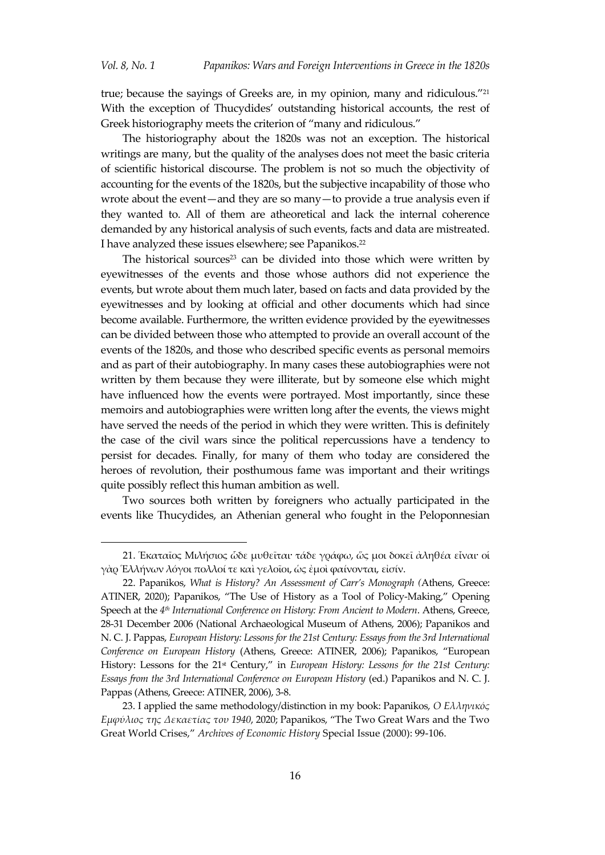true; because the sayings of Greeks are, in my opinion, many and ridiculous.' 21 With the exception of Thucydides' outstanding historical accounts, the rest of Greek historiography meets the criterion of "many and ridiculous."

The historiography about the 1820s was not an exception. The historical writings are many, but the quality of the analyses does not meet the basic criteria of scientific historical discourse. The problem is not so much the objectivity of accounting for the events of the 1820s, but the subjective incapability of those who wrote about the event—and they are so many—to provide a true analysis even if they wanted to. All of them are atheoretical and lack the internal coherence demanded by any historical analysis of such events, facts and data are mistreated. I have analyzed these issues elsewhere; see Papanikos. 22

The historical sources<sup>23</sup> can be divided into those which were written by eyewitnesses of the events and those whose authors did not experience the events, but wrote about them much later, based on facts and data provided by the eyewitnesses and by looking at official and other documents which had since become available. Furthermore, the written evidence provided by the eyewitnesses can be divided between those who attempted to provide an overall account of the events of the 1820s, and those who described specific events as personal memoirs and as part of their autobiography. In many cases these autobiographies were not written by them because they were illiterate, but by someone else which might have influenced how the events were portrayed. Most importantly, since these memoirs and autobiographies were written long after the events, the views might have served the needs of the period in which they were written. This is definitely the case of the civil wars since the political repercussions have a tendency to persist for decades. Finally, for many of them who today are considered the heroes of revolution, their posthumous fame was important and their writings quite possibly reflect this human ambition as well.

Two sources both written by foreigners who actually participated in the events like Thucydides, an Athenian general who fought in the Peloponnesian

<sup>21.</sup> Ἑκαταῖος Μιλήσιος ὧδε μυθεῖται· τάδε γράφω, ὥς μοι δοκεῖ ἀληθέα εἶναι· οἱ γὰρ Ἑλλήνων λόγοι πολλοί τε καὶ γελοῖοι, ὡς ἐμοὶ φαίνονται, εἰσίν.

<sup>22.</sup> Papanikos, *What is History? An Assessment of Carr's Monograph (*Athens, Greece: ATINER, 2020); Papanikos, 'The Use of History as a Tool of Policy-Making,' Opening Speech at the *4 th International Conference on History: From Ancient to Modern*. Athens, Greece, 28-31 December 2006 (National Archaeological Museum of Athens, 2006); Papanikos and N. C. J. Pappas, *European History: Lessons for the 21st Century: Essays from the 3rd International Conference on European History* (Athens, Greece: ATINER, 2006); Papanikos, 'European History: Lessons for the 21<sup>st</sup> Century," in *European History: Lessons for the 21st Century: Essays from the 3rd International Conference on European History* (ed.) Papanikos and N. C. J. Pappas (Athens, Greece: ATINER, 2006), 3-8.

<sup>23.</sup> I applied the same methodology/distinction in my book: Papanikos, *Ο Ελληνικός Εμφύλιος της Δεκαετίας του 1940*, 2020; Papanikos, 'The Two Great Wars and the Two Great World Crises,' *Archives of Economic History* Special Issue (2000): 99-106.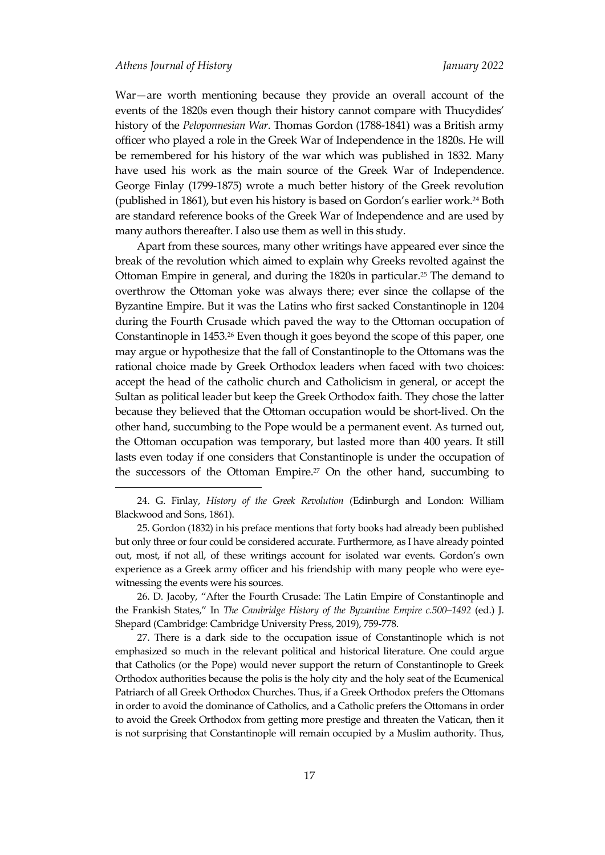War—are worth mentioning because they provide an overall account of the events of the 1820s even though their history cannot compare with Thucydides' history of the *Peloponnesian War*. Thomas Gordon (1788-1841) was a British army officer who played a role in the Greek War of Independence in the 1820s. He will be remembered for his history of the war which was published in 1832. Many have used his work as the main source of the Greek War of Independence. George Finlay (1799-1875) wrote a much better history of the Greek revolution (published in 1861), but even his history is based on Gordon's earlier work. <sup>24</sup> Both are standard reference books of the Greek War of Independence and are used by many authors thereafter. I also use them as well in this study.

Apart from these sources, many other writings have appeared ever since the break of the revolution which aimed to explain why Greeks revolted against the Ottoman Empire in general, and during the 1820s in particular. <sup>25</sup> The demand to overthrow the Ottoman yoke was always there; ever since the collapse of the Byzantine Empire. But it was the Latins who first sacked Constantinople in 1204 during the Fourth Crusade which paved the way to the Ottoman occupation of Constantinople in 1453.<sup>26</sup> Even though it goes beyond the scope of this paper, one may argue or hypothesize that the fall of Constantinople to the Ottomans was the rational choice made by Greek Orthodox leaders when faced with two choices: accept the head of the catholic church and Catholicism in general, or accept the Sultan as political leader but keep the Greek Orthodox faith. They chose the latter because they believed that the Ottoman occupation would be short-lived. On the other hand, succumbing to the Pope would be a permanent event. As turned out, the Ottoman occupation was temporary, but lasted more than 400 years. It still lasts even today if one considers that Constantinople is under the occupation of the successors of the Ottoman Empire. <sup>27</sup> On the other hand, succumbing to

26. D. Jacoby, 'After the Fourth Crusade: The Latin Empire of Constantinople and the Frankish States,' In *The Cambridge History of the Byzantine Empire c.500–1492* (ed.) J. Shepard (Cambridge: Cambridge University Press, 2019), 759-778.

27. There is a dark side to the occupation issue of Constantinople which is not emphasized so much in the relevant political and historical literature. One could argue that Catholics (or the Pope) would never support the return of Constantinople to Greek Orthodox authorities because the polis is the holy city and the holy seat of the Ecumenical Patriarch of all Greek Orthodox Churches. Thus, if a Greek Orthodox prefers the Ottomans in order to avoid the dominance of Catholics, and a Catholic prefers the Ottomans in order to avoid the Greek Orthodox from getting more prestige and threaten the Vatican, then it is not surprising that Constantinople will remain occupied by a Muslim authority. Thus,

<sup>24.</sup> G. Finlay, *History of the Greek Revolution* (Edinburgh and London: William Blackwood and Sons, 1861).

<sup>25.</sup> Gordon (1832) in his preface mentions that forty books had already been published but only three or four could be considered accurate. Furthermore, as I have already pointed out, most, if not all, of these writings account for isolated war events. Gordon's own experience as a Greek army officer and his friendship with many people who were eyewitnessing the events were his sources.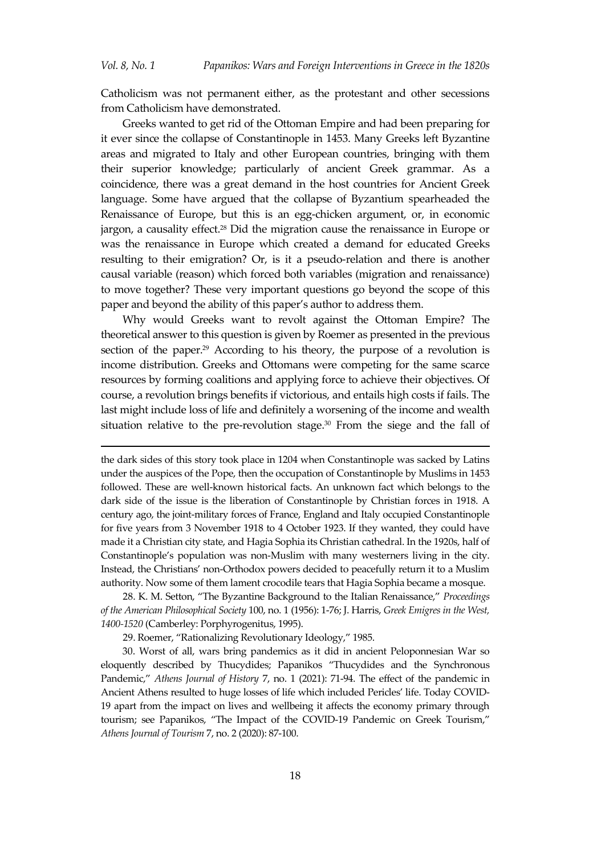Catholicism was not permanent either, as the protestant and other secessions from Catholicism have demonstrated.

Greeks wanted to get rid of the Ottoman Empire and had been preparing for it ever since the collapse of Constantinople in 1453. Many Greeks left Byzantine areas and migrated to Italy and other European countries, bringing with them their superior knowledge; particularly of ancient Greek grammar. As a coincidence, there was a great demand in the host countries for Ancient Greek language. Some have argued that the collapse of Byzantium spearheaded the Renaissance of Europe, but this is an egg-chicken argument, or, in economic jargon, a causality effect.<sup>28</sup> Did the migration cause the renaissance in Europe or was the renaissance in Europe which created a demand for educated Greeks resulting to their emigration? Or, is it a pseudo-relation and there is another causal variable (reason) which forced both variables (migration and renaissance) to move together? These very important questions go beyond the scope of this paper and beyond the ability of this paper's author to address them.

Why would Greeks want to revolt against the Ottoman Empire? The theoretical answer to this question is given by Roemer as presented in the previous section of the paper. <sup>29</sup> According to his theory, the purpose of a revolution is income distribution. Greeks and Ottomans were competing for the same scarce resources by forming coalitions and applying force to achieve their objectives. Of course, a revolution brings benefits if victorious, and entails high costs if fails. The last might include loss of life and definitely a worsening of the income and wealth situation relative to the pre-revolution stage.<sup>30</sup> From the siege and the fall of

the dark sides of this story took place in 1204 when Constantinople was sacked by Latins under the auspices of the Pope, then the occupation of Constantinople by Muslims in 1453 followed. These are well-known historical facts. An unknown fact which belongs to the dark side of the issue is the liberation of Constantinople by Christian forces in 1918. A century ago, the joint-military forces of France, England and Italy occupied Constantinople for five years from 3 November 1918 to 4 October 1923. If they wanted, they could have made it a Christian city state, and Hagia Sophia its Christian cathedral. In the 1920s, half of Constantinople's population was non-Muslim with many westerners living in the city. Instead, the Christians' non-Orthodox powers decided to peacefully return it to a Muslim authority. Now some of them lament crocodile tears that Hagia Sophia became a mosque.

28. K. M. Setton, 'The Byzantine Background to the Italian Renaissance,' *Proceedings of the American Philosophical Society* 100, no. 1 (1956): 1-76; J. Harris, *Greek Emigres in the West, 1400-1520* (Camberley: Porphyrogenitus, 1995).

29. Roemer, 'Rationalizing Revolutionary Ideology,' 1985.

-

30. Worst of all, wars bring pandemics as it did in ancient Peloponnesian War so eloquently described by Thucydides; Papanikos 'Thucydides and the Synchronous Pandemic,' *Athens Journal of History* 7, no. 1 (2021): 71-94. The effect of the pandemic in Ancient Athens resulted to huge losses of life which included Pericles' life. Today COVID-19 apart from the impact on lives and wellbeing it affects the economy primary through tourism; see Papanikos, 'The Impact of the COVID-19 Pandemic on Greek Tourism,' *Athens Journal of Tourism* 7, no. 2 (2020): 87-100.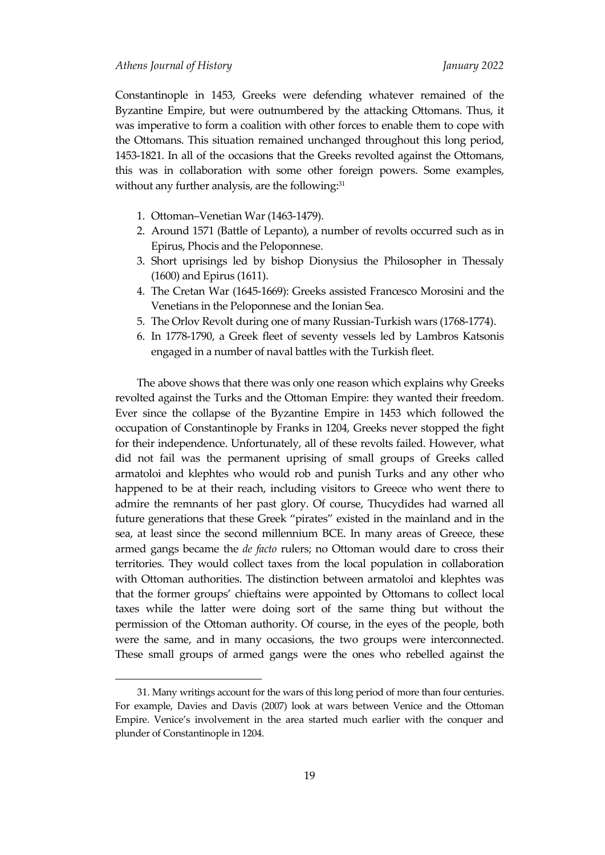Constantinople in 1453, Greeks were defending whatever remained of the Byzantine Empire, but were outnumbered by the attacking Ottomans. Thus, it was imperative to form a coalition with other forces to enable them to cope with the Ottomans. This situation remained unchanged throughout this long period, 1453-1821. In all of the occasions that the Greeks revolted against the Ottomans, this was in collaboration with some other foreign powers. Some examples, without any further analysis, are the following: 31

- 1. Ottoman–Venetian War (1463-1479).
- 2. Around 1571 (Battle of Lepanto), a number of revolts occurred such as in Epirus, Phocis and the Peloponnese.
- 3. Short uprisings led by bishop Dionysius the Philosopher in Thessaly (1600) and Epirus (1611).
- 4. The Cretan War (1645-1669): Greeks assisted Francesco Morosini and the Venetians in the Peloponnese and the Ionian Sea.
- 5. The Orlov Revolt during one of many Russian-Turkish wars (1768-1774).
- 6. In 1778-1790, a Greek fleet of seventy vessels led by Lambros Katsonis engaged in a number of naval battles with the Turkish fleet.

The above shows that there was only one reason which explains why Greeks revolted against the Turks and the Ottoman Empire: they wanted their freedom. Ever since the collapse of the Byzantine Empire in 1453 which followed the occupation of Constantinople by Franks in 1204, Greeks never stopped the fight for their independence. Unfortunately, all of these revolts failed. However, what did not fail was the permanent uprising of small groups of Greeks called armatoloi and klephtes who would rob and punish Turks and any other who happened to be at their reach, including visitors to Greece who went there to admire the remnants of her past glory. Of course, Thucydides had warned all future generations that these Greek 'pirates' existed in the mainland and in the sea, at least since the second millennium BCE. In many areas of Greece, these armed gangs became the *de facto* rulers; no Ottoman would dare to cross their territories. They would collect taxes from the local population in collaboration with Ottoman authorities. The distinction between armatoloi and klephtes was that the former groups' chieftains were appointed by Ottomans to collect local taxes while the latter were doing sort of the same thing but without the permission of the Ottoman authority. Of course, in the eyes of the people, both were the same, and in many occasions, the two groups were interconnected. These small groups of armed gangs were the ones who rebelled against the

<sup>31.</sup> Many writings account for the wars of this long period of more than four centuries. For example, Davies and Davis (2007) look at wars between Venice and the Ottoman Empire. Venice's involvement in the area started much earlier with the conquer and plunder of Constantinople in 1204.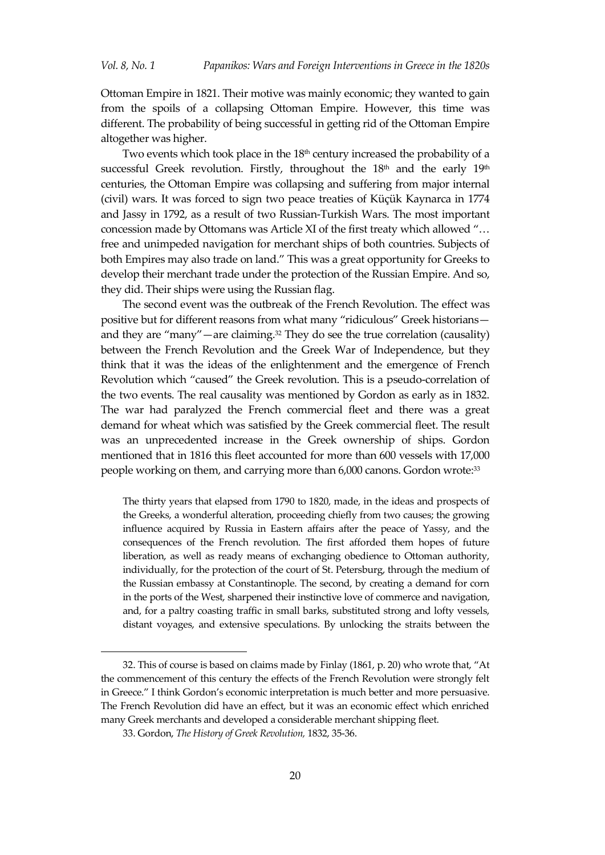Ottoman Empire in 1821. Their motive was mainly economic; they wanted to gain from the spoils of a collapsing Ottoman Empire. However, this time was different. The probability of being successful in getting rid of the Ottoman Empire altogether was higher.

Two events which took place in the 18<sup>th</sup> century increased the probability of a successful Greek revolution. Firstly, throughout the  $18<sup>th</sup>$  and the early  $19<sup>th</sup>$ centuries, the Ottoman Empire was collapsing and suffering from major internal (civil) wars. It was forced to sign two peace treaties of Küçük Kaynarca in 1774 and Jassy in 1792, as a result of two Russian-Turkish Wars. The most important concession made by Ottomans was Article XI of the first treaty which allowed "... free and unimpeded navigation for merchant ships of both countries. Subjects of both Empires may also trade on land.' This was a great opportunity for Greeks to develop their merchant trade under the protection of the Russian Empire. And so, they did. Their ships were using the Russian flag.

The second event was the outbreak of the French Revolution. The effect was positive but for different reasons from what many "ridiculous" Greek historiansand they are 'many'—are claiming. <sup>32</sup> They do see the true correlation (causality) between the French Revolution and the Greek War of Independence, but they think that it was the ideas of the enlightenment and the emergence of French Revolution which 'caused' the Greek revolution. This is a pseudo-correlation of the two events. The real causality was mentioned by Gordon as early as in 1832. The war had paralyzed the French commercial fleet and there was a great demand for wheat which was satisfied by the Greek commercial fleet. The result was an unprecedented increase in the Greek ownership of ships. Gordon mentioned that in 1816 this fleet accounted for more than 600 vessels with 17,000 people working on them, and carrying more than 6,000 canons. Gordon wrote: 33

The thirty years that elapsed from 1790 to 1820, made, in the ideas and prospects of the Greeks, a wonderful alteration, proceeding chiefly from two causes; the growing influence acquired by Russia in Eastern affairs after the peace of Yassy, and the consequences of the French revolution. The first afforded them hopes of future liberation, as well as ready means of exchanging obedience to Ottoman authority, individually, for the protection of the court of St. Petersburg, through the medium of the Russian embassy at Constantinople. The second, by creating a demand for corn in the ports of the West, sharpened their instinctive love of commerce and navigation, and, for a paltry coasting traffic in small barks, substituted strong and lofty vessels, distant voyages, and extensive speculations. By unlocking the straits between the

<sup>32.</sup> This of course is based on claims made by Finlay (1861, p. 20) who wrote that, 'At the commencement of this century the effects of the French Revolution were strongly felt in Greece.' I think Gordon's economic interpretation is much better and more persuasive. The French Revolution did have an effect, but it was an economic effect which enriched many Greek merchants and developed a considerable merchant shipping fleet.

<sup>33.</sup> Gordon, *The History of Greek Revolution,* 1832, 35-36.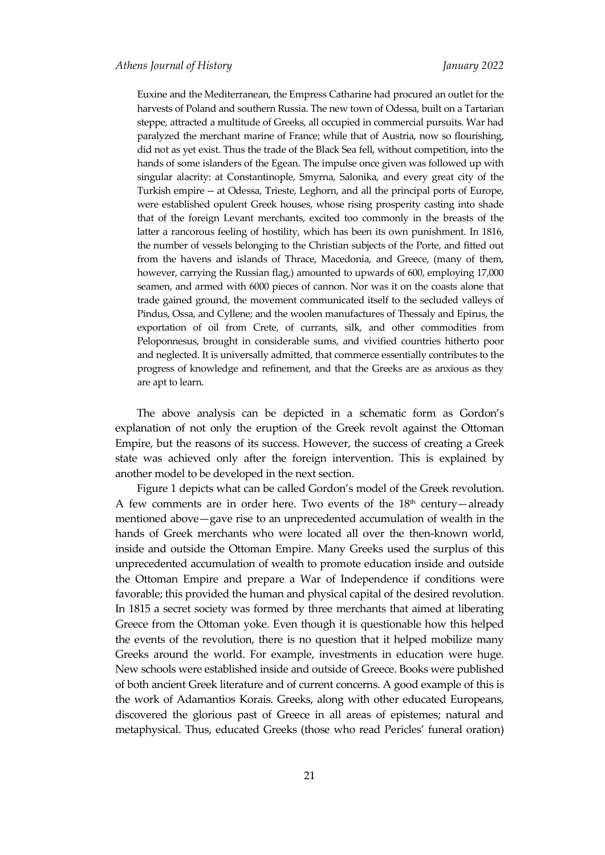Euxine and the Mediterranean, the Empress Catharine had procured an outlet for the harvests of Poland and southern Russia. The new town of Odessa, built on a Tartarian steppe, attracted a multitude of Greeks, all occupied in commercial pursuits. War had paralyzed the merchant marine of France; while that of Austria, now so flourishing, did not as yet exist. Thus the trade of the Black Sea fell, without competition, into the hands of some islanders of the Egean. The impulse once given was followed up with singular alacrity: at Constantinople, Smyrna, Salonika, and every great city of the Turkish empire -- at Odessa, Trieste, Leghorn, and all the principal ports of Europe, were established opulent Greek houses, whose rising prosperity casting into shade that of the foreign Levant merchants, excited too commonly in the breasts of the latter a rancorous feeling of hostility, which has been its own punishment. In 1816, the number of vessels belonging to the Christian subjects of the Porte, and fitted out from the havens and islands of Thrace, Macedonia, and Greece, (many of them, however, carrying the Russian flag,) amounted to upwards of 600, employing 17,000 seamen, and armed with 6000 pieces of cannon. Nor was it on the coasts alone that trade gained ground, the movement communicated itself to the secluded valleys of Pindus, Ossa, and Cyllene; and the woolen manufactures of Thessaly and Epirus, the exportation of oil from Crete, of currants, silk, and other commodities from Peloponnesus, brought in considerable sums, and vivified countries hitherto poor and neglected. It is universally admitted, that commerce essentially contributes to the progress of knowledge and refinement, and that the Greeks are as anxious as they are apt to learn.

The above analysis can be depicted in a schematic form as Gordon's explanation of not only the eruption of the Greek revolt against the Ottoman Empire, but the reasons of its success. However, the success of creating a Greek state was achieved only after the foreign intervention. This is explained by another model to be developed in the next section.

Figure 1 depicts what can be called Gordon's model of the Greek revolution. A few comments are in order here. Two events of the  $18<sup>th</sup>$  century—already mentioned above—gave rise to an unprecedented accumulation of wealth in the hands of Greek merchants who were located all over the then-known world, inside and outside the Ottoman Empire. Many Greeks used the surplus of this unprecedented accumulation of wealth to promote education inside and outside the Ottoman Empire and prepare a War of Independence if conditions were favorable; this provided the human and physical capital of the desired revolution. In 1815 a secret society was formed by three merchants that aimed at liberating Greece from the Ottoman yoke. Even though it is questionable how this helped the events of the revolution, there is no question that it helped mobilize many Greeks around the world. For example, investments in education were huge. New schools were established inside and outside of Greece. Books were published of both ancient Greek literature and of current concerns. A good example of this is the work of Adamantios Korais. Greeks, along with other educated Europeans, discovered the glorious past of Greece in all areas of epistemes; natural and metaphysical. Thus, educated Greeks (those who read Pericles' funeral oration)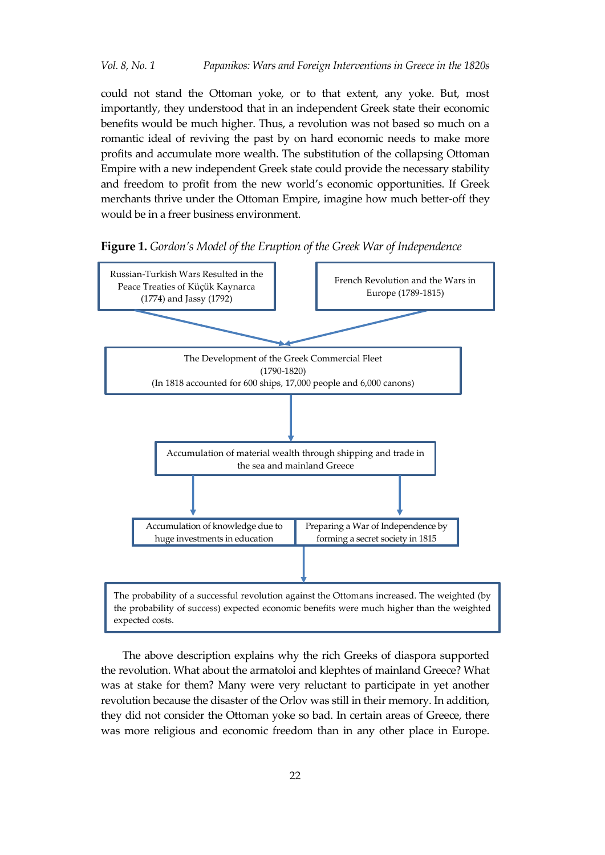could not stand the Ottoman yoke, or to that extent, any yoke. But, most importantly, they understood that in an independent Greek state their economic benefits would be much higher. Thus, a revolution was not based so much on a romantic ideal of reviving the past by on hard economic needs to make more profits and accumulate more wealth. The substitution of the collapsing Ottoman Empire with a new independent Greek state could provide the necessary stability and freedom to profit from the new world's economic opportunities. If Greek merchants thrive under the Ottoman Empire, imagine how much better-off they would be in a freer business environment.





The above description explains why the rich Greeks of diaspora supported the revolution. What about the armatoloi and klephtes of mainland Greece? What was at stake for them? Many were very reluctant to participate in yet another revolution because the disaster of the Orlov was still in their memory. In addition, they did not consider the Ottoman yoke so bad. In certain areas of Greece, there was more religious and economic freedom than in any other place in Europe.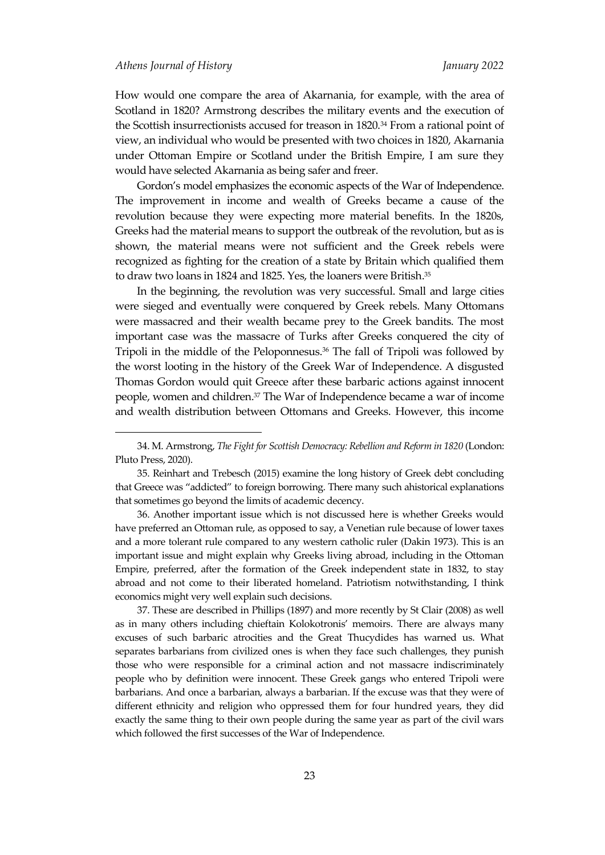How would one compare the area of Akarnania, for example, with the area of Scotland in 1820? Armstrong describes the military events and the execution of the Scottish insurrectionists accused for treason in 1820.<sup>34</sup> From a rational point of view, an individual who would be presented with two choices in 1820, Akarnania under Ottoman Empire or Scotland under the British Empire, I am sure they would have selected Akarnania as being safer and freer.

Gordon's model emphasizes the economic aspects of the War of Independence. The improvement in income and wealth of Greeks became a cause of the revolution because they were expecting more material benefits. In the 1820s, Greeks had the material means to support the outbreak of the revolution, but as is shown, the material means were not sufficient and the Greek rebels were recognized as fighting for the creation of a state by Britain which qualified them to draw two loans in 1824 and 1825. Yes, the loaners were British. 35

In the beginning, the revolution was very successful. Small and large cities were sieged and eventually were conquered by Greek rebels. Many Ottomans were massacred and their wealth became prey to the Greek bandits. The most important case was the massacre of Turks after Greeks conquered the city of Tripoli in the middle of the Peloponnesus.<sup>36</sup> The fall of Tripoli was followed by the worst looting in the history of the Greek War of Independence. A disgusted Thomas Gordon would quit Greece after these barbaric actions against innocent people, women and children.<sup>37</sup> The War of Independence became a war of income and wealth distribution between Ottomans and Greeks. However, this income

37. These are described in Phillips (1897) and more recently by St Clair (2008) as well as in many others including chieftain Kolokotronis' memoirs. There are always many excuses of such barbaric atrocities and the Great Thucydides has warned us. What separates barbarians from civilized ones is when they face such challenges, they punish those who were responsible for a criminal action and not massacre indiscriminately people who by definition were innocent. These Greek gangs who entered Tripoli were barbarians. And once a barbarian, always a barbarian. If the excuse was that they were of different ethnicity and religion who oppressed them for four hundred years, they did exactly the same thing to their own people during the same year as part of the civil wars which followed the first successes of the War of Independence.

<sup>34.</sup> M. Armstrong, *The Fight for Scottish Democracy: Rebellion and Reform in 1820* (London: Pluto Press, 2020).

<sup>35.</sup> Reinhart and Trebesch (2015) examine the long history of Greek debt concluding that Greece was 'addicted' to foreign borrowing. There many such ahistorical explanations that sometimes go beyond the limits of academic decency.

<sup>36.</sup> Another important issue which is not discussed here is whether Greeks would have preferred an Ottoman rule, as opposed to say, a Venetian rule because of lower taxes and a more tolerant rule compared to any western catholic ruler (Dakin 1973). This is an important issue and might explain why Greeks living abroad, including in the Ottoman Empire, preferred, after the formation of the Greek independent state in 1832, to stay abroad and not come to their liberated homeland. Patriotism notwithstanding, I think economics might very well explain such decisions.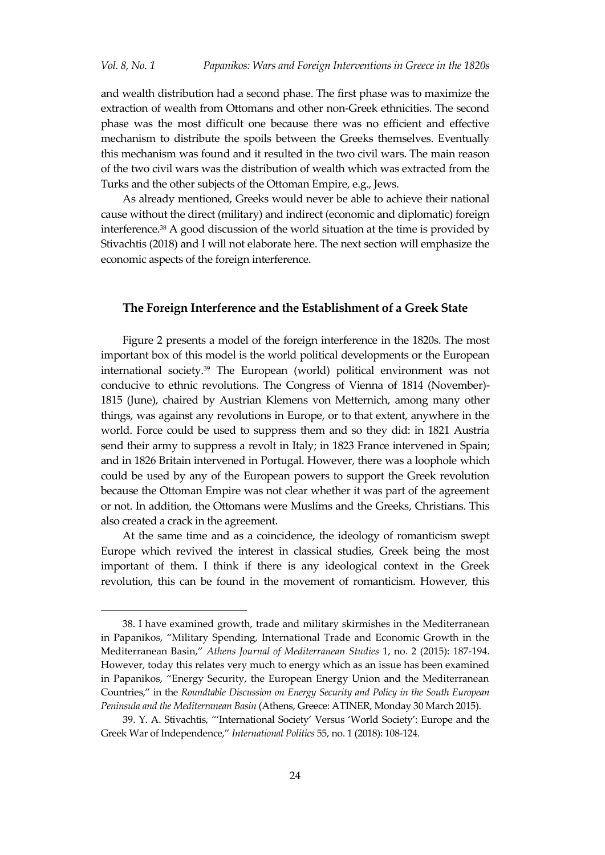and wealth distribution had a second phase. The first phase was to maximize the extraction of wealth from Ottomans and other non-Greek ethnicities. The second phase was the most difficult one because there was no efficient and effective mechanism to distribute the spoils between the Greeks themselves. Eventually this mechanism was found and it resulted in the two civil wars. The main reason of the two civil wars was the distribution of wealth which was extracted from the Turks and the other subjects of the Ottoman Empire, e.g., Jews.

As already mentioned, Greeks would never be able to achieve their national cause without the direct (military) and indirect (economic and diplomatic) foreign interference.<sup>38</sup> A good discussion of the world situation at the time is provided by Stivachtis (2018) and I will not elaborate here. The next section will emphasize the economic aspects of the foreign interference.

#### **The Foreign Interference and the Establishment of a Greek State**

Figure 2 presents a model of the foreign interference in the 1820s. The most important box of this model is the world political developments or the European international society. <sup>39</sup> The European (world) political environment was not conducive to ethnic revolutions. The Congress of Vienna of 1814 (November)- 1815 (June), chaired by Austrian Klemens von Metternich, among many other things, was against any revolutions in Europe, or to that extent, anywhere in the world. Force could be used to suppress them and so they did: in 1821 Austria send their army to suppress a revolt in Italy; in 1823 France intervened in Spain; and in 1826 Britain intervened in Portugal. However, there was a loophole which could be used by any of the European powers to support the Greek revolution because the Ottoman Empire was not clear whether it was part of the agreement or not. In addition, the Ottomans were Muslims and the Greeks, Christians. This also created a crack in the agreement.

At the same time and as a coincidence, the ideology of romanticism swept Europe which revived the interest in classical studies, Greek being the most important of them. I think if there is any ideological context in the Greek revolution, this can be found in the movement of romanticism. However, this

<sup>38.</sup> I have examined growth, trade and military skirmishes in the Mediterranean in Papanikos, 'Military Spending, International Trade and Economic Growth in the Mediterranean Basin,' *Athens Journal of Mediterranean Studies* 1, no. 2 (2015): 187-194. However, today this relates very much to energy which as an issue has been examined in Papanikos, 'Energy Security, the European Energy Union and the Mediterranean Countries,' in the *Roundtable Discussion on Energy Security and Policy in the South European Peninsula and the Mediterranean Basin* (Athens, Greece: ATINER, Monday 30 March 2015).

<sup>39.</sup> Y. A. Stivachtis, ''International Society' Versus 'World Society': Europe and the Greek War of Independence,' *International Politics* 55, no. 1 (2018): 108-124.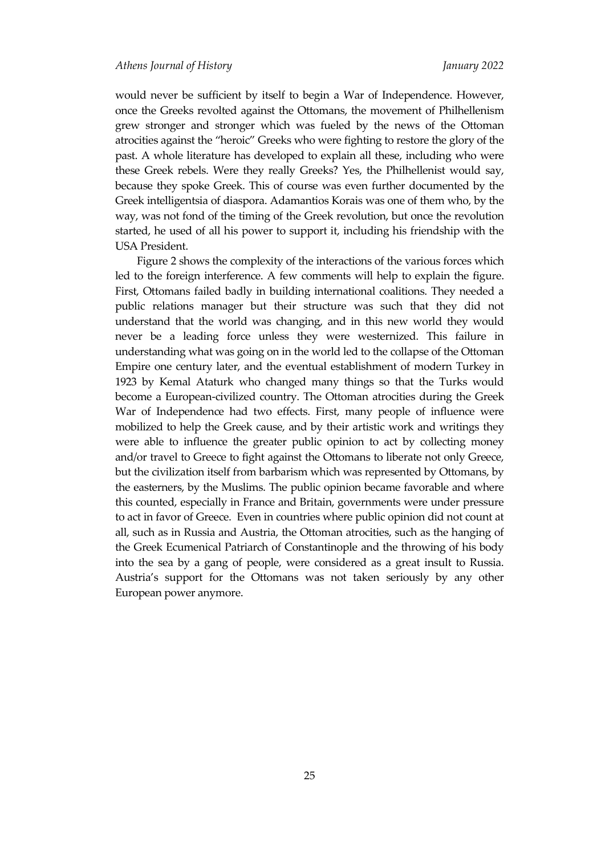would never be sufficient by itself to begin a War of Independence. However, once the Greeks revolted against the Ottomans, the movement of Philhellenism grew stronger and stronger which was fueled by the news of the Ottoman atrocities against the 'heroic' Greeks who were fighting to restore the glory of the past. A whole literature has developed to explain all these, including who were these Greek rebels. Were they really Greeks? Yes, the Philhellenist would say, because they spoke Greek. This of course was even further documented by the Greek intelligentsia of diaspora. Adamantios Korais was one of them who, by the way, was not fond of the timing of the Greek revolution, but once the revolution started, he used of all his power to support it, including his friendship with the USA President.

Figure 2 shows the complexity of the interactions of the various forces which led to the foreign interference. A few comments will help to explain the figure. First, Ottomans failed badly in building international coalitions. They needed a public relations manager but their structure was such that they did not understand that the world was changing, and in this new world they would never be a leading force unless they were westernized. This failure in understanding what was going on in the world led to the collapse of the Ottoman Empire one century later, and the eventual establishment of modern Turkey in 1923 by Kemal Ataturk who changed many things so that the Turks would become a European-civilized country. The Ottoman atrocities during the Greek War of Independence had two effects. First, many people of influence were mobilized to help the Greek cause, and by their artistic work and writings they were able to influence the greater public opinion to act by collecting money and/or travel to Greece to fight against the Ottomans to liberate not only Greece, but the civilization itself from barbarism which was represented by Ottomans, by the easterners, by the Muslims. The public opinion became favorable and where this counted, especially in France and Britain, governments were under pressure to act in favor of Greece. Even in countries where public opinion did not count at all, such as in Russia and Austria, the Ottoman atrocities, such as the hanging of the Greek Ecumenical Patriarch of Constantinople and the throwing of his body into the sea by a gang of people, were considered as a great insult to Russia. Austria's support for the Ottomans was not taken seriously by any other European power anymore.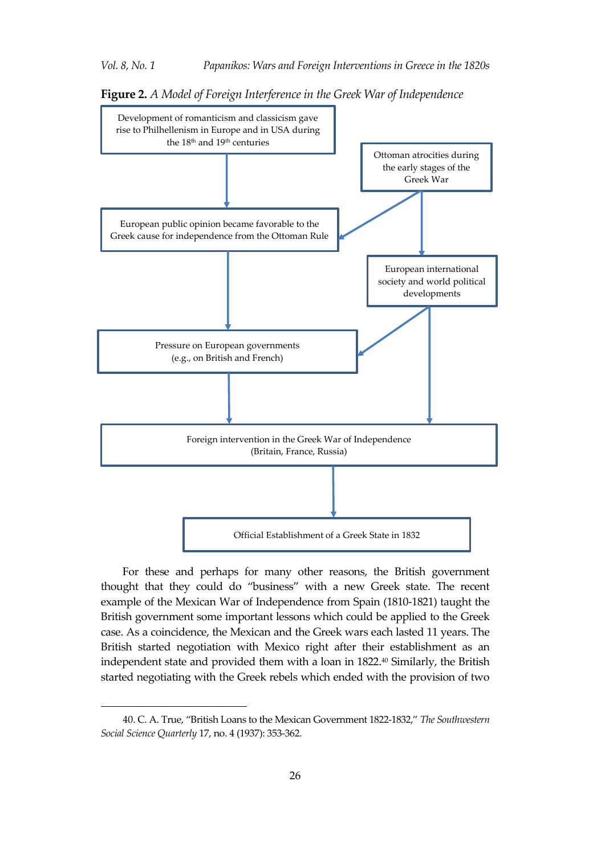

**Figure 2.** *A Model of Foreign Interference in the Greek War of Independence*

For these and perhaps for many other reasons, the British government thought that they could do 'business' with a new Greek state. The recent example of the Mexican War of Independence from Spain (1810-1821) taught the British government some important lessons which could be applied to the Greek case. As a coincidence, the Mexican and the Greek wars each lasted 11 years. The British started negotiation with Mexico right after their establishment as an independent state and provided them with a loan in 1822. <sup>40</sup> Similarly, the British started negotiating with the Greek rebels which ended with the provision of two

<sup>40</sup>. C. A. True, 'British Loans to the Mexican Government 1822-1832,' *The Southwestern Social Science Quarterly* 17, no. 4 (1937): 353-362.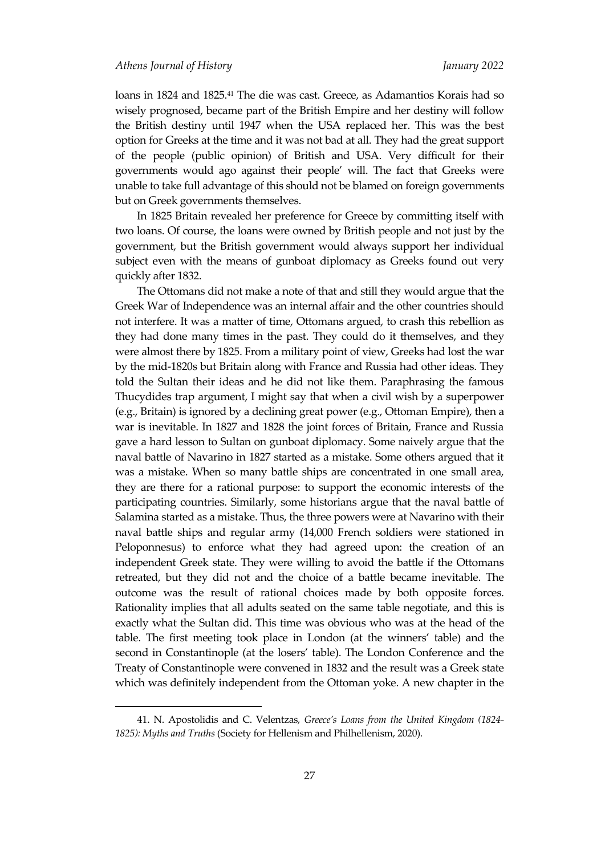loans in 1824 and 1825.<sup>41</sup> The die was cast. Greece, as Adamantios Korais had so wisely prognosed, became part of the British Empire and her destiny will follow the British destiny until 1947 when the USA replaced her. This was the best option for Greeks at the time and it was not bad at all. They had the great support of the people (public opinion) of British and USA. Very difficult for their governments would ago against their people' will. The fact that Greeks were unable to take full advantage of this should not be blamed on foreign governments but on Greek governments themselves.

In 1825 Britain revealed her preference for Greece by committing itself with two loans. Of course, the loans were owned by British people and not just by the government, but the British government would always support her individual subject even with the means of gunboat diplomacy as Greeks found out very quickly after 1832.

The Ottomans did not make a note of that and still they would argue that the Greek War of Independence was an internal affair and the other countries should not interfere. It was a matter of time, Ottomans argued, to crash this rebellion as they had done many times in the past. They could do it themselves, and they were almost there by 1825. From a military point of view, Greeks had lost the war by the mid-1820s but Britain along with France and Russia had other ideas. They told the Sultan their ideas and he did not like them. Paraphrasing the famous Thucydides trap argument, I might say that when a civil wish by a superpower (e.g., Britain) is ignored by a declining great power (e.g., Ottoman Empire), then a war is inevitable. In 1827 and 1828 the joint forces of Britain, France and Russia gave a hard lesson to Sultan on gunboat diplomacy. Some naively argue that the naval battle of Navarino in 1827 started as a mistake. Some others argued that it was a mistake. When so many battle ships are concentrated in one small area, they are there for a rational purpose: to support the economic interests of the participating countries. Similarly, some historians argue that the naval battle of Salamina started as a mistake. Thus, the three powers were at Navarino with their naval battle ships and regular army (14,000 French soldiers were stationed in Peloponnesus) to enforce what they had agreed upon: the creation of an independent Greek state. They were willing to avoid the battle if the Ottomans retreated, but they did not and the choice of a battle became inevitable. The outcome was the result of rational choices made by both opposite forces. Rationality implies that all adults seated on the same table negotiate, and this is exactly what the Sultan did. This time was obvious who was at the head of the table. The first meeting took place in London (at the winners' table) and the second in Constantinople (at the losers' table). The London Conference and the Treaty of Constantinople were convened in 1832 and the result was a Greek state which was definitely independent from the Ottoman yoke. A new chapter in the

<sup>41.</sup> N. Apostolidis and C. Velentzas, *Greece's Loans from the United Kingdom (1824- 1825): Myths and Truths* (Society for Hellenism and Philhellenism, 2020).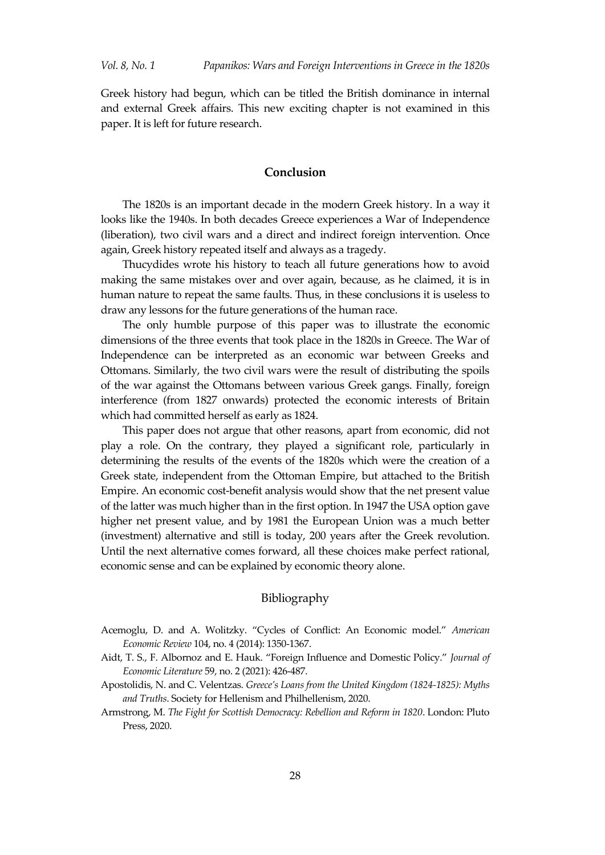Greek history had begun, which can be titled the British dominance in internal and external Greek affairs. This new exciting chapter is not examined in this paper. It is left for future research.

## **Conclusion**

The 1820s is an important decade in the modern Greek history. In a way it looks like the 1940s. In both decades Greece experiences a War of Independence (liberation), two civil wars and a direct and indirect foreign intervention. Once again, Greek history repeated itself and always as a tragedy.

Thucydides wrote his history to teach all future generations how to avoid making the same mistakes over and over again, because, as he claimed, it is in human nature to repeat the same faults. Thus, in these conclusions it is useless to draw any lessons for the future generations of the human race.

The only humble purpose of this paper was to illustrate the economic dimensions of the three events that took place in the 1820s in Greece. The War of Independence can be interpreted as an economic war between Greeks and Ottomans. Similarly, the two civil wars were the result of distributing the spoils of the war against the Ottomans between various Greek gangs. Finally, foreign interference (from 1827 onwards) protected the economic interests of Britain which had committed herself as early as 1824.

This paper does not argue that other reasons, apart from economic, did not play a role. On the contrary, they played a significant role, particularly in determining the results of the events of the 1820s which were the creation of a Greek state, independent from the Ottoman Empire, but attached to the British Empire. An economic cost-benefit analysis would show that the net present value of the latter was much higher than in the first option. In 1947 the USA option gave higher net present value, and by 1981 the European Union was a much better (investment) alternative and still is today, 200 years after the Greek revolution. Until the next alternative comes forward, all these choices make perfect rational, economic sense and can be explained by economic theory alone.

## Bibliography

- Acemoglu, D. and A. Wolitzky. 'Cycles of Conflict: An Economic model.' *American Economic Review* 104, no. 4 (2014): 1350-1367.
- Aidt, T. S., F. Albornoz and E. Hauk. 'Foreign Influence and Domestic Policy.' *Journal of Economic Literature* 59, no. 2 (2021): 426-487.
- Apostolidis, N. and C. Velentzas. *Greece's Loans from the United Kingdom (1824-1825): Myths and Truths*. Society for Hellenism and Philhellenism, 2020.
- Armstrong, M. *The Fight for Scottish Democracy: Rebellion and Reform in 1820*. London: Pluto Press, 2020.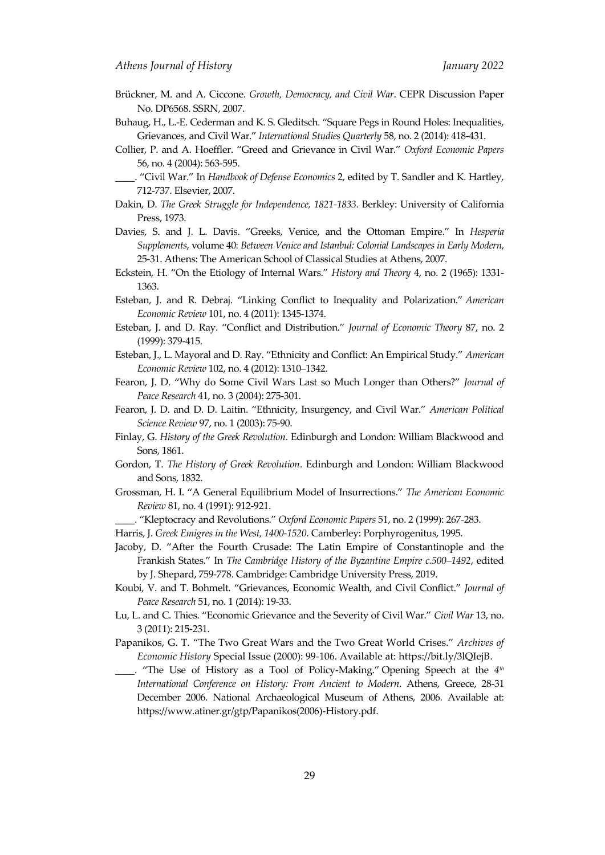- Brückner, M. and A. Ciccone. *Growth, Democracy, and Civil War*. CEPR Discussion Paper No. DP6568. SSRN, 2007.
- Buhaug, H., L.-E. Cederman and K. S. Gleditsch. 'Square Pegs in Round Holes: Inequalities, Grievances, and Civil War.' *International Studies Quarterly* 58, no. 2 (2014): 418-431.
- Collier, P. and A. Hoeffler. 'Greed and Grievance in Civil War.' *Oxford Economic Papers* 56, no. 4 (2004): 563-595.
- \_\_\_\_. 'Civil War.' In *Handbook of Defense Economics* 2, edited by T. Sandler and K. Hartley, 712-737. Elsevier, 2007.
- Dakin, D. *The Greek Struggle for Independence, 1821-1833.* Berkley: University of California Press, 1973.
- Davies, S. and J. L. Davis. 'Greeks, Venice, and the Ottoman Empire.' In *Hesperia Supplements*, volume 40: *Between Venice and Istanbul: Colonial Landscapes in Early Modern*, 25-31. Athens: The American School of Classical Studies at Athens, 2007.
- Eckstein, H. 'On the Etiology of Internal Wars.' *History and Theory* 4, no. 2 (1965): 1331- 1363.
- Esteban, J. and R. Debraj. 'Linking Conflict to Inequality and Polarization.' *American Economic Review* 101, no. 4 (2011): 1345-1374.
- Esteban, J. and D. Ray. 'Conflict and Distribution.' *Journal of Economic Theory* 87, no. 2 (1999): 379-415.
- Esteban, J., L. Mayoral and D. Ray. 'Ethnicity and Conflict: An Empirical Study.' *American Economic Review* 102, no. 4 (2012): 1310–1342.
- Fearon, J. D. 'Why do Some Civil Wars Last so Much Longer than Others?' *Journal of Peace Research* 41, no. 3 (2004): 275-301.
- Fearon, J. D. and D. D. Laitin. 'Ethnicity, Insurgency, and Civil War.' *American Political Science Review* 97, no. 1 (2003): 75-90.
- Finlay, G. *History of the Greek Revolution*. Edinburgh and London: William Blackwood and Sons, 1861.
- Gordon, T. *The History of Greek Revolution*. Edinburgh and London: William Blackwood and Sons, 1832.
- Grossman, H. I. 'A General Equilibrium Model of Insurrections.' *The American Economic Review* 81, no. 4 (1991): 912-921.

\_\_\_\_. 'Kleptocracy and Revolutions.' *Oxford Economic Papers* 51, no. 2 (1999): 267-283.

- Harris, J. *Greek Emigres in the West, 1400-1520*. Camberley: Porphyrogenitus, 1995.
- Jacoby, D. 'After the Fourth Crusade: The Latin Empire of Constantinople and the Frankish States.' In *The Cambridge History of the Byzantine Empire c.500–1492*, edited by J. Shepard, 759-778. Cambridge: Cambridge University Press, 2019.
- Koubi, V. and T. Bohmelt. 'Grievances, Economic Wealth, and Civil Conflict.' *Journal of Peace Research* 51, no. 1 (2014): 19-33.
- Lu, L. and C. Thies. 'Economic Grievance and the Severity of Civil War.' *Civil War* 13, no. 3 (2011): 215-231.
- Papanikos, G. T. 'The Two Great Wars and the Two Great World Crises.' *Archives of Economic History* Special Issue (2000): 99-106. Available at: [https://bit.ly/3lQIejB.](https://bit.ly/3lQIejB)
- \_\_\_\_. 'The Use of History as a Tool of Policy-Making.' Opening Speech at the *4 th International Conference on History: From Ancient to Modern*. Athens, Greece, 28-31 December 2006. National Archaeological Museum of Athens, 2006. Available at: https://www.atiner.gr/gtp/Papanikos(2006)-History.pdf.